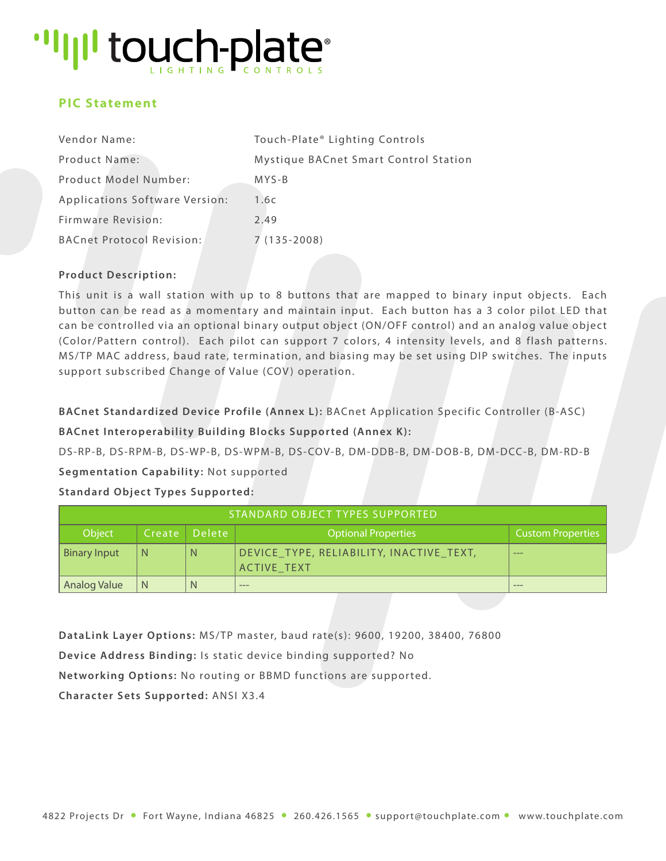## "IIII touch-plate"

### **PIC Statement**

| Vendor Name:                   | Touch-Plate® Lighting Controls        |
|--------------------------------|---------------------------------------|
| Product Name:                  | Mystique BACnet Smart Control Station |
| Product Model Number:          | $MYS-B$                               |
| Applications Software Version: | 1.6c                                  |
| Firmware Revision:             | 2.49                                  |
| BACnet Protocol Revision:      | $7(135-2008)$                         |

#### **Product Description:**

This unit is a wall station with up to 8 buttons that are mapped to binary input objects. Each button can be read as a momentary and maintain input. Each button has a 3 color pilot LED that can be controlled via an optional binary output object (ON/OFF control) and an analog value object (Color/Pattern control). Each pilot can support 7 colors, 4 intensity levels, and 8 flash patterns. MS/TP MAC address, baud rate, termination, and biasing may be set using DIP switches. The inputs support subscribed Change of Value (COV) operation.

**BACnet Standardized Device Profile (Annex L):** BACnet Application Specific Controller (B-ASC)

**BACnet Interoperability Building Blocks Supported (Annex K):**

DS-RP-B, DS-RPM-B, DS-WP-B, DS-WPM-B, DS-COV-B, DM-DDB-B, DM-DOB-B, DM-DCC-B, DM-RD-B

**Segmentation Capability:** Not supported

#### **Standard Object Types Supported:**

| STANDARD OBJECT TYPES SUPPORTED |   |                   |                                                                |                          |  |  |  |
|---------------------------------|---|-------------------|----------------------------------------------------------------|--------------------------|--|--|--|
| Object                          |   | lCreate ∣Delete ' | <b>Optional Properties</b>                                     | <b>Custom Properties</b> |  |  |  |
| <b>Binary Input</b>             | N | N                 | DEVICE_TYPE, RELIABILITY, INACTIVE_TEXT,<br><b>ACTIVE TEXT</b> | $---$                    |  |  |  |
| Analog Value                    | N | N                 | $---$                                                          | $- - -$                  |  |  |  |

**DataLink Layer Options:** MS/TP master, baud rate(s): 9600, 19200, 38400, 76800

**Device Address Binding:** Is static device binding supported? No

**Networking Options:** No routing or BBMD functions are supported.

**Character Sets Supported:** ANSI X3.4